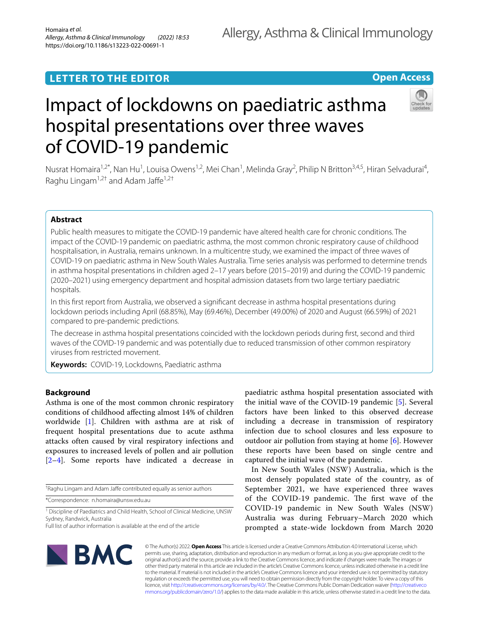# **LETTER TO THE EDITOR**

**Open Access**

# Impact of lockdowns on paediatric asthma hospital presentations over three waves of COVID-19 pandemic



Nusrat Homaira<sup>1,2\*</sup>, Nan Hu<sup>1</sup>, Louisa Owens<sup>1,2</sup>, Mei Chan<sup>1</sup>, Melinda Gray<sup>2</sup>, Philip N Britton<sup>3,4,5</sup>, Hiran Selvadurai<sup>4</sup>, Raghu Lingam<sup>1,2†</sup> and Adam Jaffe<sup>1,2†</sup>

# **Abstract**

Public health measures to mitigate the COVID-19 pandemic have altered health care for chronic conditions. The impact of the COVID-19 pandemic on paediatric asthma, the most common chronic respiratory cause of childhood hospitalisation, in Australia, remains unknown. In a multicentre study, we examined the impact of three waves of COVID-19 on paediatric asthma in New South Wales Australia. Time series analysis was performed to determine trends in asthma hospital presentations in children aged 2–17 years before (2015–2019) and during the COVID-19 pandemic (2020–2021) using emergency department and hospital admission datasets from two large tertiary paediatric hospitals.

In this frst report from Australia, we observed a signifcant decrease in asthma hospital presentations during lockdown periods including April (68.85%), May (69.46%), December (49.00%) of 2020 and August (66.59%) of 2021 compared to pre-pandemic predictions.

The decrease in asthma hospital presentations coincided with the lockdown periods during frst, second and third waves of the COVID-19 pandemic and was potentially due to reduced transmission of other common respiratory viruses from restricted movement.

**Keywords:** COVID-19, Lockdowns, Paediatric asthma

# **Background**

Asthma is one of the most common chronic respiratory conditions of childhood afecting almost 14% of children worldwide [\[1\]](#page-5-0). Children with asthma are at risk of frequent hospital presentations due to acute asthma attacks often caused by viral respiratory infections and exposures to increased levels of pollen and air pollution [[2–](#page-5-1)[4\]](#page-5-2). Some reports have indicated a decrease in

<sup>†</sup>Raghu Lingam and Adam Jaffe contributed equally as senior authors

\*Correspondence: n.homaira@unsw.edu.au

<sup>1</sup> Discipline of Paediatrics and Child Health, School of Clinical Medicine, UNSW Sydney, Randwick, Australia

paediatric asthma hospital presentation associated with the initial wave of the COVID-19 pandemic [\[5](#page-5-3)]. Several factors have been linked to this observed decrease including a decrease in transmission of respiratory infection due to school closures and less exposure to outdoor air pollution from staying at home [\[6](#page-5-4)]. However these reports have been based on single centre and captured the initial wave of the pandemic.

In New South Wales (NSW) Australia, which is the most densely populated state of the country, as of September 2021, we have experienced three waves of the COVID-19 pandemic. The first wave of the COVID-19 pandemic in New South Wales (NSW) Australia was during February–March 2020 which prompted a state-wide lockdown from March 2020



© The Author(s) 2022. **Open Access** This article is licensed under a Creative Commons Attribution 4.0 International License, which permits use, sharing, adaptation, distribution and reproduction in any medium or format, as long as you give appropriate credit to the original author(s) and the source, provide a link to the Creative Commons licence, and indicate if changes were made. The images or other third party material in this article are included in the article's Creative Commons licence, unless indicated otherwise in a credit line to the material. If material is not included in the article's Creative Commons licence and your intended use is not permitted by statutory regulation or exceeds the permitted use, you will need to obtain permission directly from the copyright holder. To view a copy of this licence, visit [http://creativecommons.org/licenses/by/4.0/.](http://creativecommons.org/licenses/by/4.0/) The Creative Commons Public Domain Dedication waiver ([http://creativeco](http://creativecommons.org/publicdomain/zero/1.0/) [mmons.org/publicdomain/zero/1.0/](http://creativecommons.org/publicdomain/zero/1.0/)) applies to the data made available in this article, unless otherwise stated in a credit line to the data.

Full list of author information is available at the end of the article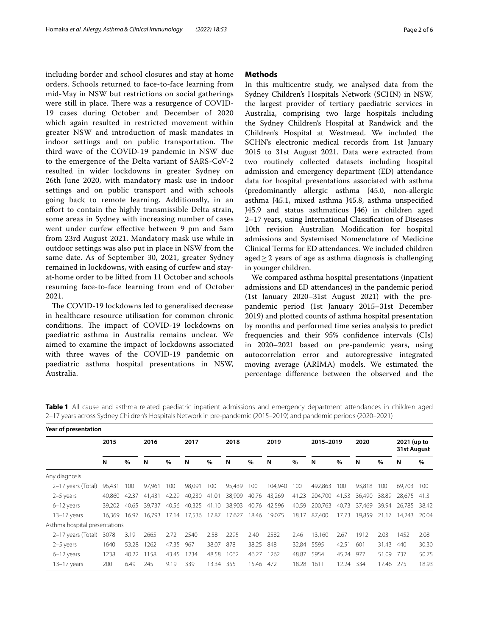including border and school closures and stay at home orders. Schools returned to face-to-face learning from mid-May in NSW but restrictions on social gatherings were still in place. There was a resurgence of COVID-19 cases during October and December of 2020 which again resulted in restricted movement within greater NSW and introduction of mask mandates in indoor settings and on public transportation. The third wave of the COVID-19 pandemic in NSW due to the emergence of the Delta variant of SARS-CoV-2 resulted in wider lockdowns in greater Sydney on 26th June 2020, with mandatory mask use in indoor settings and on public transport and with schools going back to remote learning. Additionally, in an efort to contain the highly transmissible Delta strain, some areas in Sydney with increasing number of cases went under curfew efective between 9 pm and 5am from 23rd August 2021. Mandatory mask use while in outdoor settings was also put in place in NSW from the same date. As of September 30, 2021, greater Sydney remained in lockdowns, with easing of curfew and stayat-home order to be lifted from 11 October and schools resuming face-to-face learning from end of October 2021.

The COVID-19 lockdowns led to generalised decrease in healthcare resource utilisation for common chronic conditions. The impact of COVID-19 lockdowns on paediatric asthma in Australia remains unclear. We aimed to examine the impact of lockdowns associated with three waves of the COVID-19 pandemic on paediatric asthma hospital presentations in NSW, Australia.

## **Methods**

In this multicentre study, we analysed data from the Sydney Children's Hospitals Network (SCHN) in NSW, the largest provider of tertiary paediatric services in Australia, comprising two large hospitals including the Sydney Children's Hospital at Randwick and the Children's Hospital at Westmead. We included the SCHN's electronic medical records from 1st January 2015 to 31st August 2021. Data were extracted from two routinely collected datasets including hospital admission and emergency department (ED) attendance data for hospital presentations associated with asthma (predominantly allergic asthma J45.0, non-allergic asthma J45.1, mixed asthma J45.8, asthma unspecifed J45.9 and status asthmaticus J46) in children aged 2–17 years, using International Classifcation of Diseases 10th revision Australian Modifcation for hospital admissions and Systemised Nomenclature of Medicine Clinical Terms for ED attendances. We included children aged $\geq$  2 years of age as asthma diagnosis is challenging in younger children.

We compared asthma hospital presentations (inpatient admissions and ED attendances) in the pandemic period (1st January 2020–31st August 2021) with the prepandemic period (1st January 2015–31st December 2019) and plotted counts of asthma hospital presentation by months and performed time series analysis to predict frequencies and their 95% confdence intervals (CIs) in 2020–2021 based on pre-pandemic years, using autocorrelation error and autoregressive integrated moving average (ARIMA) models. We estimated the percentage diference between the observed and the

<span id="page-1-0"></span>

|  |  |  |  |  | Table 1 All cause and asthma related paediatric inpatient admissions and emergency department attendances in children aged |  |
|--|--|--|--|--|----------------------------------------------------------------------------------------------------------------------------|--|
|  |  |  |  |  | 2–17 years across Sydney Children's Hospitals Network in pre-pandemic (2015–2019) and pandemic periods (2020–2021)         |  |
|  |  |  |  |  |                                                                                                                            |  |

| Year of presentation          |        |       |        |       |              |       |              |       |         |       |            |           |        |           |                            |       |
|-------------------------------|--------|-------|--------|-------|--------------|-------|--------------|-------|---------|-------|------------|-----------|--------|-----------|----------------------------|-------|
|                               | 2015   |       | 2016   |       | 2017         |       | 2018         |       | 2019    |       | 2015-2019  |           | 2020   |           | 2021 (up to<br>31st August |       |
|                               | N      | $\%$  | N      | $\%$  | N            | $\%$  | N            | $\%$  | N       | $\%$  | N          | $\%$      | N      | $\%$      | N                          | $\%$  |
| Any diagnosis                 |        |       |        |       |              |       |              |       |         |       |            |           |        |           |                            |       |
| 2–17 years (Total)            | 96.431 | 100   | 97.961 | 100   | 98,091       | 100   | 95,439       | 100   | 104,940 | 100   | 492,863    | 100       | 93.818 | 100       | 69.703                     | 100   |
| $2-5$ years                   | 40.860 | 42.37 | 41.431 | 42.29 | 40,230       | 41.01 | 38,909       | 40.76 | 43,269  | 41.23 | 204,700    | 41.53     | 36,490 | 38.89     | 28.675                     | 41.3  |
| $6-12$ years                  | 39.202 | 40.65 | 39.737 | 40.56 | 40,325       | 41.10 | 38,903       | 40.76 | 42,596  | 40.59 | 200,763    | 40.73     | 37.469 | 39.94     | 26.785                     | 38.42 |
| $13-17$ years                 | 16.369 | 16.97 | 16.793 |       | 17.14 17,536 | 17.87 | 17,627 18.46 |       | 19,075  | 18.17 | 87,400     | 17.73     | 19.859 | 21.17     | 14.243                     | 20.04 |
| Asthma hospital presentations |        |       |        |       |              |       |              |       |         |       |            |           |        |           |                            |       |
| 2–17 years (Total)            | 3078   | 3.19  | 2665   | 2.72  | 2540         | 2.58  | 2295         | 2.40  | 2582    | 2.46  | 13,160     | 2.67      | 1912   | 2.03      | 1452                       | 2.08  |
| 2-5 years                     | 1640   | 53.28 | 1262   | 47.35 | 967          | 38.07 | 878          | 38.25 | 848     |       | 32.84 5595 | 42.51     | 601    | 31.43     | 440                        | 30.30 |
| 6-12 years                    | 1238   | 40.22 | 1158   | 43.45 | 1234         | 48.58 | 1062         | 46.27 | 1262    | 48.87 | 5954       | 45.24 977 |        | 51.09     | 737                        | 50.75 |
| $13 - 17$ years               | 200    | 6.49  | 245    | 9.19  | 339          | 13.34 | 355          | 15.46 | 472     | 18.28 | 1611       | 12.24 334 |        | 17.46 275 |                            | 18.93 |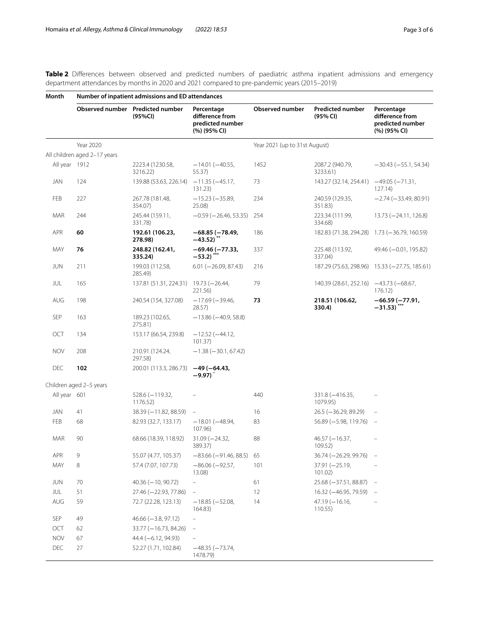<span id="page-2-0"></span>**Table 2** Diferences between observed and predicted numbers of paediatric asthma inpatient admissions and emergency department attendances by months in 2020 and 2021 compared to pre-pandemic years (2015–2019)

| Month         | Number of inpatient admissions and ED attendances |                                             |                                                                   |                               |                                     |                                                                   |  |  |  |  |  |
|---------------|---------------------------------------------------|---------------------------------------------|-------------------------------------------------------------------|-------------------------------|-------------------------------------|-------------------------------------------------------------------|--|--|--|--|--|
|               |                                                   | Observed number Predicted number<br>(95%CI) | Percentage<br>difference from<br>predicted number<br>(%) (95% CI) | <b>Observed number</b>        | <b>Predicted number</b><br>(95% CI) | Percentage<br>difference from<br>predicted number<br>(%) (95% CI) |  |  |  |  |  |
|               | Year 2020                                         |                                             |                                                                   | Year 2021 (up to 31st August) |                                     |                                                                   |  |  |  |  |  |
|               | All children aged 2-17 years                      |                                             |                                                                   |                               |                                     |                                                                   |  |  |  |  |  |
| All year 1912 |                                                   | 2223.4 (1230.58,<br>3216.22)                | $-14.01 (-40.55,$<br>55.37)                                       | 1452                          | 2087.2 (940.79,<br>3233.61)         | $-30.43 (-55.1, 54.34)$                                           |  |  |  |  |  |
| JAN           | 124                                               | 139.88 (53.63, 226.14)                      | $-11.35(-45.17,$<br>131.23)                                       | 73                            | 143.27 (32.14, 254.41)              | $-49.05 (-71.31,$<br>127.14                                       |  |  |  |  |  |
| FEB           | 227                                               | 267.78 (181.48,<br>354.07)                  | $-15.23(-35.89,$<br>25.08)                                        | 234                           | 240.59 (129.35,<br>351.83)          | $-2.74(-33.49, 80.91)$                                            |  |  |  |  |  |
| MAR           | 244                                               | 245.44 (159.11,<br>331.78)                  | $-0.59$ ( $-26.46$ , 53.35)                                       | 254                           | 223.34 (111.99,<br>334.68)          | $13.73 (-24.11, 126.8)$                                           |  |  |  |  |  |
| <b>APR</b>    | 60                                                | 192.61 (106.23,<br>278.98)                  | $-68.85(-78.49,$<br>$-43.52)$ $\ddot{\phantom{1}}$                | 186                           |                                     | 182.83 (71.38, 294.28) 1.73 (-36.79, 160.59)                      |  |  |  |  |  |
| MAY           | 76                                                | 248.82 (162.41,<br>335.24)                  | $-69.46 (-77.33,$<br>$-53.2$                                      | 337                           | 225.48 (113.92,<br>337.04)          | 49.46 (-0.01, 195.82)                                             |  |  |  |  |  |
| <b>JUN</b>    | 211                                               | 199.03 (112.58,<br>285.49)                  | $6.01 (-26.09, 87.43)$                                            | 216                           |                                     | 187.29 (75.63, 298.96) 15.33 (-27.75, 185.61)                     |  |  |  |  |  |
| JUL           | 165                                               | 137.81 (51.31, 224.31)                      | $19.73 (-26.44,$<br>221.56)                                       | 79                            | 140.39 (28.61, 252.16)              | $-43.73(-68.67)$<br>176.12                                        |  |  |  |  |  |
| AUG           | 198                                               | 240.54 (154, 327.08)                        | $-17.69(-39.46,$<br>28.57                                         | 73                            | 218.51 (106.62,<br>330.4)           | $-66.59(-77.91,$<br>$-31.53)$ ***                                 |  |  |  |  |  |
| <b>SEP</b>    | 163                                               | 189.23 (102.65,<br>275.81)                  | $-13.86(-40.9, 58.8)$                                             |                               |                                     |                                                                   |  |  |  |  |  |
| OCT           | 134                                               | 153.17 (66.54, 239.8)                       | $-12.52(-44.12,$<br>101.37)                                       |                               |                                     |                                                                   |  |  |  |  |  |
| <b>NOV</b>    | 208                                               | 210.91 (124.24,<br>297.58)                  | $-1.38 (-30.1, 67.42)$                                            |                               |                                     |                                                                   |  |  |  |  |  |
| <b>DEC</b>    | 102                                               | 200.01 (113.3, 286.73)                      | $-49(-64.43,$<br>$-9.97$                                          |                               |                                     |                                                                   |  |  |  |  |  |
|               | Children aged 2-5 years                           |                                             |                                                                   |                               |                                     |                                                                   |  |  |  |  |  |
| All year 601  |                                                   | $528.6 (-119.32,$<br>1176.52)               |                                                                   | 440                           | 331.8 (-416.35,<br>1079.95)         |                                                                   |  |  |  |  |  |
| JAN           | 41                                                | $38.39 (-11.82, 88.59)$                     | $\overline{\phantom{a}}$                                          | 16                            | $26.5$ (-36.29, 89.29)              | $\qquad \qquad -$                                                 |  |  |  |  |  |
| FEB           | 68                                                | 82.93 (32.7, 133.17)                        | $-18.01(-48.94,$<br>107.96)                                       | 83                            | 56.89 (-5.98, 119.76)               | $\sim$                                                            |  |  |  |  |  |
| MAR           | 90                                                | 68.66 (18.39, 118.92)                       | $31.09 (-24.32,$<br>389.37)                                       | 88                            | $46.57 (-16.37,$<br>109.52)         |                                                                   |  |  |  |  |  |
| APR           | 9                                                 | 55.07 (4.77, 105.37)                        | $-83.66 (-91.46, 88.5)$                                           | 65                            | 36.74 (-26.29, 99.76)               |                                                                   |  |  |  |  |  |
| MAY           | 8                                                 | 57.4 (7.07, 107.73)                         | $-86.06 (-92.57,$<br>13.08)                                       | 101                           | $37.91 (-25.19,$<br>101.02)         |                                                                   |  |  |  |  |  |
| JUN           | 70                                                | $40.36 (-10, 90.72)$                        | -                                                                 | 61                            | 25.68 (-37.51, 88.87)               |                                                                   |  |  |  |  |  |
| JUL           | 51                                                | 27.46 (-22.93, 77.86)                       | $\qquad \qquad -$                                                 | 12                            | 16.32 (-46.95, 79.59)               | $\hspace{0.1mm}-\hspace{0.1mm}$                                   |  |  |  |  |  |
| AUG           | 59                                                | 72.7 (22.28, 123.13)                        | $-18.85 (-52.08,$<br>164.83)                                      | 14                            | $47.19(-16.16,$<br>110.55)          |                                                                   |  |  |  |  |  |
| SEP           | 49                                                | $46.66 (-3.8, 97.12)$                       | $\qquad \qquad -$                                                 |                               |                                     |                                                                   |  |  |  |  |  |
| OCT           | 62                                                | 33.77 (-16.73, 84.26)                       |                                                                   |                               |                                     |                                                                   |  |  |  |  |  |
| <b>NOV</b>    | 67                                                | $44.4 (-6.12, 94.93)$                       |                                                                   |                               |                                     |                                                                   |  |  |  |  |  |
| DEC           | 27                                                | 52.27 (1.71, 102.84)                        | $-48.35(-73.74,$<br>1478.79)                                      |                               |                                     |                                                                   |  |  |  |  |  |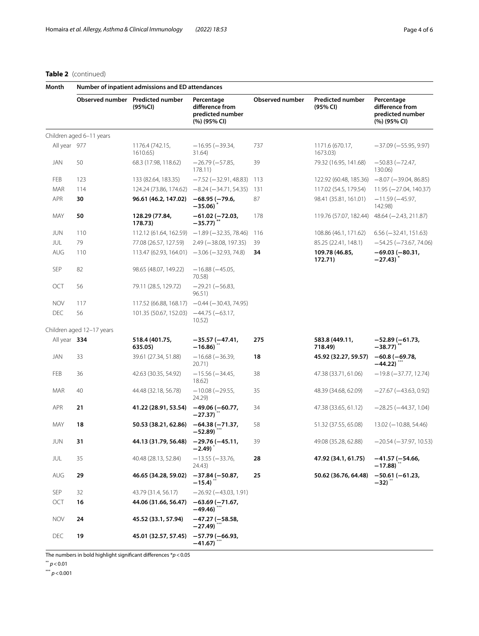# **Table 2** (continued)

| Month        | Number of inpatient admissions and ED attendances |                                             |                                                                   |                        |                                     |                                                                   |  |  |  |  |  |
|--------------|---------------------------------------------------|---------------------------------------------|-------------------------------------------------------------------|------------------------|-------------------------------------|-------------------------------------------------------------------|--|--|--|--|--|
|              |                                                   | Observed number Predicted number<br>(95%CI) | Percentage<br>difference from<br>predicted number<br>(%) (95% CI) | <b>Observed number</b> | <b>Predicted number</b><br>(95% CI) | Percentage<br>difference from<br>predicted number<br>(%) (95% CI) |  |  |  |  |  |
|              | Children aged 6-11 years                          |                                             |                                                                   |                        |                                     |                                                                   |  |  |  |  |  |
| All year 977 |                                                   | 1176.4 (742.15,<br>1610.65)                 | $-16.95 (-39.34,$<br>31.64)                                       | 737                    | 1171.6 (670.17,<br>1673.03)         | $-37.09 (-55.95, 9.97)$                                           |  |  |  |  |  |
| JAN          | 50                                                | 68.3 (17.98, 118.62)                        | $-26.79(-57.85,$<br>178.11)                                       | 39                     | 79.32 (16.95, 141.68)               | $-50.83(-72.47,$<br>130.06)                                       |  |  |  |  |  |
| FEB          | 123                                               | 133 (82.64, 183.35)                         | $-7.52$ ( $-32.91$ , 48.83)                                       | 113                    | 122.92 (60.48, 185.36)              | $-8.07 (-39.04, 86.85)$                                           |  |  |  |  |  |
| MAR          | 114                                               | 124.24 (73.86, 174.62)                      | $-8.24 (-34.71, 54.35)$                                           | 131                    | 117.02 (54.5, 179.54)               | $11.95 (-27.04, 140.37)$                                          |  |  |  |  |  |
| APR          | 30                                                | 96.61 (46.2, 147.02)                        | $-68.95(-79.6,$<br>$-35.06$                                       | 87                     | 98.41 (35.81, 161.01)               | $-11.59(-45.97,$<br>142.98)                                       |  |  |  |  |  |
| MAY          | 50                                                | 128.29 (77.84,<br>178.73)                   | $-61.02$ ( $-72.03$ ,<br>$-35.77$ )                               | 178                    | 119.76 (57.07, 182.44)              | 48.64 (-2.43, 211.87)                                             |  |  |  |  |  |
| JUN          | 110                                               | 112.12 (61.64, 162.59)                      | $-1.89(-32.35, 78.46)$                                            | 116                    | 108.86 (46.1, 171.62)               | $6.56 (-32.41, 151.63)$                                           |  |  |  |  |  |
| JUL          | 79                                                | 77.08 (26.57, 127.59)                       | $2.49$ ( $-38.08$ , 197.35)                                       | 39                     | 85.25 (22.41, 148.1)                | $-54.25 (-73.67, 74.06)$                                          |  |  |  |  |  |
| AUG          | 110                                               | 113.47 (62.93, 164.01)                      | $-3.06$ ( $-32.93$ , 74.8)                                        | 34                     | 109.78 (46.85,<br>172.71)           | $-69.03(-80.31,$<br>$-27.43$                                      |  |  |  |  |  |
| <b>SEP</b>   | 82                                                | 98.65 (48.07, 149.22)                       | $-16.88(-45.05,$<br>70.58)                                        |                        |                                     |                                                                   |  |  |  |  |  |
| OCT          | 56                                                | 79.11 (28.5, 129.72)                        | $-29.21 (-56.83,$<br>96.51)                                       |                        |                                     |                                                                   |  |  |  |  |  |
| <b>NOV</b>   | 117                                               | 117.52 (66.88, 168.17)                      | $-0.44 (-30.43, 74.95)$                                           |                        |                                     |                                                                   |  |  |  |  |  |
| <b>DEC</b>   | 56                                                | 101.35 (50.67, 152.03)                      | $-44.75(-63.17,$<br>10.52)                                        |                        |                                     |                                                                   |  |  |  |  |  |
|              | Children aged 12-17 years                         |                                             |                                                                   |                        |                                     |                                                                   |  |  |  |  |  |
| All year 334 |                                                   | 518.4 (401.75,<br>635.05)                   | $-35.57(-47.41,$<br>$-16.86$                                      | 275                    | 583.8 (449.11,<br>718.49)           | $-52.89(-61.73,$<br>$-38.77$ ) <sup>**</sup>                      |  |  |  |  |  |
| JAN          | 33                                                | 39.61 (27.34, 51.88)                        | $-16.68 (-36.39,$<br>20.71)                                       | 18                     | 45.92 (32.27, 59.57)                | $-60.8(-69.78,$<br>$-44.22$ )                                     |  |  |  |  |  |
| FEB          | 36                                                | 42.63 (30.35, 54.92)                        | $-15.56 (-34.45,$<br>18.62)                                       | 38                     | 47.38 (33.71, 61.06)                | $-19.8$ ( $-37.77$ , 12.74)                                       |  |  |  |  |  |
| MAR          | 40                                                | 44.48 (32.18, 56.78)                        | $-10.08 (-29.55,$<br>24.29)                                       | 35                     | 48.39 (34.68, 62.09)                | $-27.67 (-43.63, 0.92)$                                           |  |  |  |  |  |
| APR          | 21                                                | 41.22 (28.91, 53.54)                        | $-49.06 (-60.77,$<br>$-27.37)$                                    | 34                     | 47.38 (33.65, 61.12)                | $-28.25 (-44.37, 1.04)$                                           |  |  |  |  |  |
| MAY          | 18                                                | 50.53 (38.21, 62.86)                        | $-64.38(-71.37,$<br>$-52.89$                                      | 58                     | 51.32 (37.55, 65.08)                | $13.02 (-10.88, 54.46)$                                           |  |  |  |  |  |
| JUN          | 31                                                | 44.13 (31.79, 56.48)                        | $-29.76(-45.11,$<br>$-2.49)$                                      | 39                     | 49.08 (35.28, 62.88)                | -20.54 (-37.97, 10.53)                                            |  |  |  |  |  |
| JUL          | 35                                                | 40.48 (28.13, 52.84)                        | $-13.55 (-33.76,$<br>24.43)                                       | 28                     | 47.92 (34.1, 61.75)                 | $-41.57(-54.66,$<br>$-17.88$                                      |  |  |  |  |  |
| AUG          | 29                                                | 46.65 (34.28, 59.02)                        | $-37.84(-50.87,$<br>$-15.4)$                                      | 25                     | 50.62 (36.76, 64.48)                | $-50.61(-61.23,$<br>$-32)$                                        |  |  |  |  |  |
| SEP          | 32                                                | 43.79 (31.4, 56.17)                         | $-26.92(-43.03, 1.91)$                                            |                        |                                     |                                                                   |  |  |  |  |  |
| OCT          | 16                                                | 44.06 (31.66, 56.47)                        | $-63.69(-71.67,$<br>$-49.46)$                                     |                        |                                     |                                                                   |  |  |  |  |  |
| <b>NOV</b>   | 24                                                | 45.52 (33.1, 57.94)                         | $-47.27(-58.58,$<br>$-27.49$                                      |                        |                                     |                                                                   |  |  |  |  |  |
| DEC          | 19                                                | 45.01 (32.57, 57.45)                        | $-57.79(-66.93,$<br>$-41.67)$                                     |                        |                                     |                                                                   |  |  |  |  |  |

The numbers in bold highlight signifcant diferences \**p*<0.05

\*\* *p*<0.01

\*\*\* *p*<0.001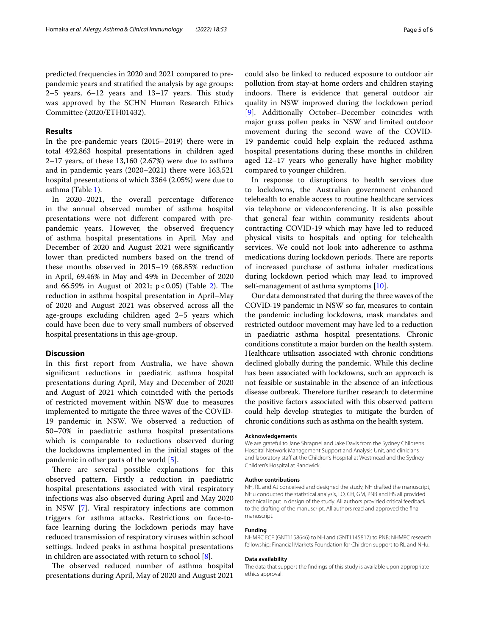predicted frequencies in 2020 and 2021 compared to prepandemic years and stratifed the analysis by age groups:  $2-5$  years,  $6-12$  years and  $13-17$  years. This study was approved by the SCHN Human Research Ethics Committee (2020/ETH01432).

# **Results**

In the pre-pandemic years (2015–2019) there were in total 492,863 hospital presentations in children aged 2–17 years, of these 13,160 (2.67%) were due to asthma and in pandemic years (2020–2021) there were 163,521 hospital presentations of which 3364 (2.05%) were due to asthma (Table [1](#page-1-0)).

In 2020–2021, the overall percentage diference in the annual observed number of asthma hospital presentations were not diferent compared with prepandemic years. However, the observed frequency of asthma hospital presentations in April, May and December of 2020 and August 2021 were signifcantly lower than predicted numbers based on the trend of these months observed in 2015–19 (68.85% reduction in April, 69.46% in May and 49% in December of 2020 and 66.59% in August of 2021;  $p < 0.05$ ) (Table [2\)](#page-2-0). The reduction in asthma hospital presentation in April–May of 2020 and August 2021 was observed across all the age-groups excluding children aged 2–5 years which could have been due to very small numbers of observed hospital presentations in this age-group.

## **Discussion**

In this frst report from Australia, we have shown signifcant reductions in paediatric asthma hospital presentations during April, May and December of 2020 and August of 2021 which coincided with the periods of restricted movement within NSW due to measures implemented to mitigate the three waves of the COVID-19 pandemic in NSW. We observed a reduction of 50–70% in paediatric asthma hospital presentations which is comparable to reductions observed during the lockdowns implemented in the initial stages of the pandemic in other parts of the world [[5\]](#page-5-3).

There are several possible explanations for this observed pattern. Firstly a reduction in paediatric hospital presentations associated with viral respiratory infections was also observed during April and May 2020 in NSW [[7\]](#page-5-5). Viral respiratory infections are common triggers for asthma attacks. Restrictions on face-toface learning during the lockdown periods may have reduced transmission of respiratory viruses within school settings. Indeed peaks in asthma hospital presentations in children are associated with return to school [\[8](#page-5-6)].

The observed reduced number of asthma hospital presentations during April, May of 2020 and August 2021

could also be linked to reduced exposure to outdoor air pollution from stay-at home orders and children staying indoors. There is evidence that general outdoor air quality in NSW improved during the lockdown period [[9\]](#page-5-7). Additionally October–December coincides with major grass pollen peaks in NSW and limited outdoor movement during the second wave of the COVID-19 pandemic could help explain the reduced asthma hospital presentations during these months in children aged 12–17 years who generally have higher mobility compared to younger children.

In response to disruptions to health services due to lockdowns, the Australian government enhanced telehealth to enable access to routine healthcare services via telephone or videoconferencing. It is also possible that general fear within community residents about contracting COVID-19 which may have led to reduced physical visits to hospitals and opting for telehealth services. We could not look into adherence to asthma medications during lockdown periods. There are reports of increased purchase of asthma inhaler medications during lockdown period which may lead to improved self-management of asthma symptoms [[10](#page-5-8)].

Our data demonstrated that during the three waves of the COVID-19 pandemic in NSW so far, measures to contain the pandemic including lockdowns, mask mandates and restricted outdoor movement may have led to a reduction in paediatric asthma hospital presentations. Chronic conditions constitute a major burden on the health system. Healthcare utilisation associated with chronic conditions declined globally during the pandemic. While this decline has been associated with lockdowns, such an approach is not feasible or sustainable in the absence of an infectious disease outbreak. Therefore further research to determine the positive factors associated with this observed pattern could help develop strategies to mitigate the burden of chronic conditions such as asthma on the health system.

#### **Acknowledgements**

We are grateful to Jane Shrapnel and Jake Davis from the Sydney Children's Hospital Network Management Support and Analysis Unit, and clinicians and laboratory staff at the Children's Hospital at Westmead and the Sydney Children's Hospital at Randwick.

#### **Author contributions**

NH, RL and AJ conceived and designed the study, NH drafted the manuscript, NHu conducted the statistical analysis, LO, CH, GM, PNB and HS all provided technical input in design of the study. All authors provided critical feedback to the drafting of the manuscript. All authors read and approved the fnal manuscript.

## **Funding**

NHMRC ECF (GNT1158646) to NH and (GNT1145817) to PNB; NHMRC research fellowship; Financial Markets Foundation for Children support to RL and NHu.

#### **Data availability**

The data that support the fndings of this study is available upon appropriate ethics approval.